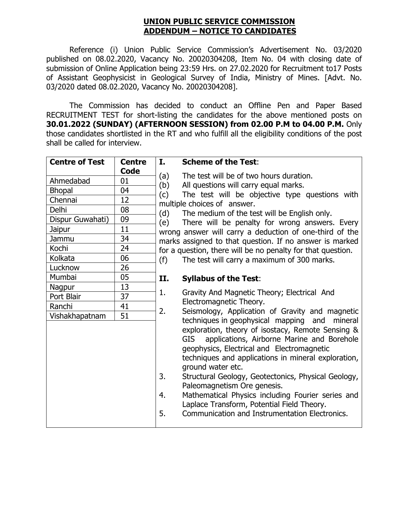## **UNION PUBLIC SERVICE COMMISSION ADDENDUM – NOTICE TO CANDIDATES**

Reference (i) Union Public Service Commission's Advertisement No. 03/2020 published on 08.02.2020, Vacancy No. 20020304208, Item No. 04 with closing date of submission of Online Application being 23:59 Hrs. on 27.02.2020 for Recruitment to17 Posts of Assistant Geophysicist in Geological Survey of India, Ministry of Mines. [Advt. No. 03/2020 dated 08.02.2020, Vacancy No. 20020304208].

The Commission has decided to conduct an Offline Pen and Paper Based RECRUITMENT TEST for short-listing the candidates for the above mentioned posts on **30.01.2022 (SUNDAY) (AFTERNOON SESSION) from 02.00 P.M to 04.00 P.M.** Only those candidates shortlisted in the RT and who fulfill all the eligibility conditions of the post shall be called for interview.

| <b>Centre of Test</b> | <b>Centre</b> | I.<br><b>Scheme of the Test:</b>                                                                                                                                                                                                                                                                                                                                                                                                                                                               |  |  |
|-----------------------|---------------|------------------------------------------------------------------------------------------------------------------------------------------------------------------------------------------------------------------------------------------------------------------------------------------------------------------------------------------------------------------------------------------------------------------------------------------------------------------------------------------------|--|--|
|                       | Code<br>01    | The test will be of two hours duration.<br>(a)                                                                                                                                                                                                                                                                                                                                                                                                                                                 |  |  |
| Ahmedabad             |               | (b)<br>All questions will carry equal marks.<br>(c)<br>The test will be objective type questions with<br>multiple choices of answer.<br>(d)<br>The medium of the test will be English only.<br>There will be penalty for wrong answers. Every<br>(e)<br>wrong answer will carry a deduction of one-third of the<br>marks assigned to that question. If no answer is marked<br>for a question, there will be no penalty for that question.                                                      |  |  |
| <b>Bhopal</b>         | 04            |                                                                                                                                                                                                                                                                                                                                                                                                                                                                                                |  |  |
| Chennai               | 12            |                                                                                                                                                                                                                                                                                                                                                                                                                                                                                                |  |  |
| <b>Delhi</b>          | 08            |                                                                                                                                                                                                                                                                                                                                                                                                                                                                                                |  |  |
| Dispur Guwahati)      | 09            |                                                                                                                                                                                                                                                                                                                                                                                                                                                                                                |  |  |
| Jaipur                | 11            |                                                                                                                                                                                                                                                                                                                                                                                                                                                                                                |  |  |
| Jammu                 | 34            |                                                                                                                                                                                                                                                                                                                                                                                                                                                                                                |  |  |
| Kochi                 | 24            |                                                                                                                                                                                                                                                                                                                                                                                                                                                                                                |  |  |
| Kolkata               | 06            | The test will carry a maximum of 300 marks.<br>(f)                                                                                                                                                                                                                                                                                                                                                                                                                                             |  |  |
| Lucknow               | 26            |                                                                                                                                                                                                                                                                                                                                                                                                                                                                                                |  |  |
| Mumbai                | 05            | II.<br><b>Syllabus of the Test:</b>                                                                                                                                                                                                                                                                                                                                                                                                                                                            |  |  |
| Nagpur                | 13            |                                                                                                                                                                                                                                                                                                                                                                                                                                                                                                |  |  |
| Port Blair            | 37            | 1.<br>Gravity And Magnetic Theory; Electrical And                                                                                                                                                                                                                                                                                                                                                                                                                                              |  |  |
| Ranchi                | 41            | Electromagnetic Theory.<br>2.                                                                                                                                                                                                                                                                                                                                                                                                                                                                  |  |  |
| Vishakhapatnam        | 51            | Seismology, Application of Gravity and magnetic<br>techniques in geophysical mapping and<br>mineral                                                                                                                                                                                                                                                                                                                                                                                            |  |  |
|                       |               | exploration, theory of isostacy, Remote Sensing &<br>applications, Airborne Marine and Borehole<br>GIS.<br>geophysics, Electrical and Electromagnetic<br>techniques and applications in mineral exploration,<br>ground water etc.<br>3.<br>Structural Geology, Geotectonics, Physical Geology,<br>Paleomagnetism Ore genesis.<br>Mathematical Physics including Fourier series and<br>4.<br>Laplace Transform, Potential Field Theory.<br>5.<br>Communication and Instrumentation Electronics. |  |  |